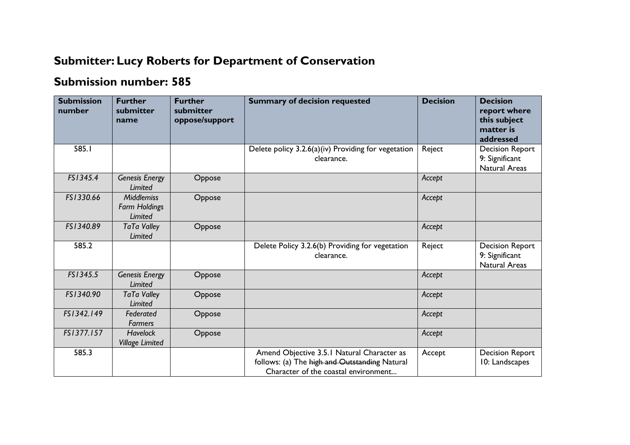## **Submitter: Lucy Roberts for Department of Conservation**

## **Submission number: 585**

| <b>Submission</b><br>number | <b>Further</b><br>submitter<br>name                  | <b>Further</b><br>submitter<br>oppose/support | <b>Summary of decision requested</b>                                                                                                | <b>Decision</b> | <b>Decision</b><br>report where<br>this subject<br>matter is<br>addressed |
|-----------------------------|------------------------------------------------------|-----------------------------------------------|-------------------------------------------------------------------------------------------------------------------------------------|-----------------|---------------------------------------------------------------------------|
| 585.I                       |                                                      |                                               | Delete policy $3.2.6(a)(iv)$ Providing for vegetation<br>clearance.                                                                 | Reject          | <b>Decision Report</b><br>9: Significant<br><b>Natural Areas</b>          |
| FS1345.4                    | <b>Genesis Energy</b><br>Limited                     | Oppose                                        |                                                                                                                                     | Accept          |                                                                           |
| FS1330.66                   | <b>Middlemiss</b><br><b>Farm Holdings</b><br>Limited | Oppose                                        |                                                                                                                                     | Accept          |                                                                           |
| FS1340.89                   | <b>TaTa Valley</b><br>Limited                        | Oppose                                        |                                                                                                                                     | Accept          |                                                                           |
| 585.2                       |                                                      |                                               | Delete Policy 3.2.6(b) Providing for vegetation<br>clearance.                                                                       | Reject          | <b>Decision Report</b><br>9: Significant<br><b>Natural Areas</b>          |
| FS1345.5                    | <b>Genesis Energy</b><br><b>Limited</b>              | Oppose                                        |                                                                                                                                     | Accept          |                                                                           |
| FS1340.90                   | <b>TaTa Valley</b><br>Limited                        | Oppose                                        |                                                                                                                                     | Accept          |                                                                           |
| FS1342.149                  | Federated<br><b>Farmers</b>                          | Oppose                                        |                                                                                                                                     | Accept          |                                                                           |
| FS1377.157                  | <b>Havelock</b><br><b>Village Limited</b>            | Oppose                                        |                                                                                                                                     | Accept          |                                                                           |
| 585.3                       |                                                      |                                               | Amend Objective 3.5.1 Natural Character as<br>follows: (a) The high and Outstanding Natural<br>Character of the coastal environment | Accept          | <b>Decision Report</b><br>10: Landscapes                                  |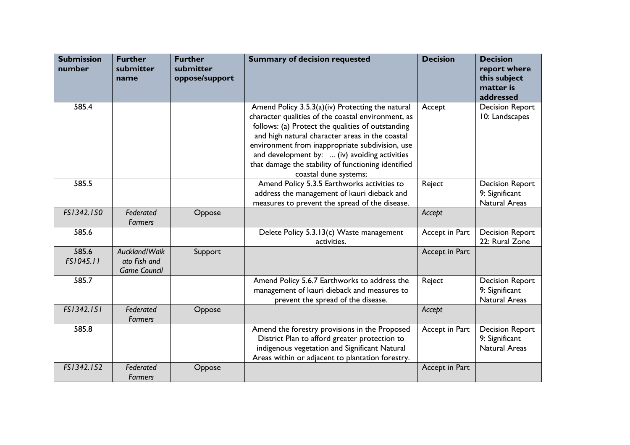| <b>Submission</b><br>number | <b>Further</b><br>submitter<br>name                  | <b>Further</b><br>submitter<br>oppose/support | <b>Summary of decision requested</b>                                                                                                                                                                                                                                                                                                                                                               | <b>Decision</b> | <b>Decision</b><br>report where<br>this subject<br>matter is<br>addressed |
|-----------------------------|------------------------------------------------------|-----------------------------------------------|----------------------------------------------------------------------------------------------------------------------------------------------------------------------------------------------------------------------------------------------------------------------------------------------------------------------------------------------------------------------------------------------------|-----------------|---------------------------------------------------------------------------|
| 585.4                       |                                                      |                                               | Amend Policy 3.5.3(a)(iv) Protecting the natural<br>character qualities of the coastal environment, as<br>follows: (a) Protect the qualities of outstanding<br>and high natural character areas in the coastal<br>environment from inappropriate subdivision, use<br>and development by:  (iv) avoiding activities<br>that damage the stability of functioning identified<br>coastal dune systems; | Accept          | <b>Decision Report</b><br>10: Landscapes                                  |
| 585.5                       |                                                      |                                               | Amend Policy 5.3.5 Earthworks activities to<br>address the management of kauri dieback and<br>measures to prevent the spread of the disease.                                                                                                                                                                                                                                                       | Reject          | <b>Decision Report</b><br>9: Significant<br><b>Natural Areas</b>          |
| FS1342.150                  | Federated<br><b>Farmers</b>                          | Oppose                                        |                                                                                                                                                                                                                                                                                                                                                                                                    | Accept          |                                                                           |
| 585.6                       |                                                      |                                               | Delete Policy 5.3.13(c) Waste management<br>activities.                                                                                                                                                                                                                                                                                                                                            | Accept in Part  | <b>Decision Report</b><br>22: Rural Zone                                  |
| 585.6<br>FS1045.11          | Auckland/Waik<br>ato Fish and<br><b>Game Council</b> | Support                                       |                                                                                                                                                                                                                                                                                                                                                                                                    | Accept in Part  |                                                                           |
| 585.7                       |                                                      |                                               | Amend Policy 5.6.7 Earthworks to address the<br>management of kauri dieback and measures to<br>prevent the spread of the disease.                                                                                                                                                                                                                                                                  | Reject          | <b>Decision Report</b><br>9: Significant<br><b>Natural Areas</b>          |
| FS1342.151                  | Federated<br>Farmers                                 | Oppose                                        |                                                                                                                                                                                                                                                                                                                                                                                                    | Accept          |                                                                           |
| 585.8                       |                                                      |                                               | Amend the forestry provisions in the Proposed<br>District Plan to afford greater protection to<br>indigenous vegetation and Significant Natural<br>Areas within or adjacent to plantation forestry.                                                                                                                                                                                                | Accept in Part  | <b>Decision Report</b><br>9: Significant<br><b>Natural Areas</b>          |
| FS1342.152                  | Federated<br><b>Farmers</b>                          | Oppose                                        |                                                                                                                                                                                                                                                                                                                                                                                                    | Accept in Part  |                                                                           |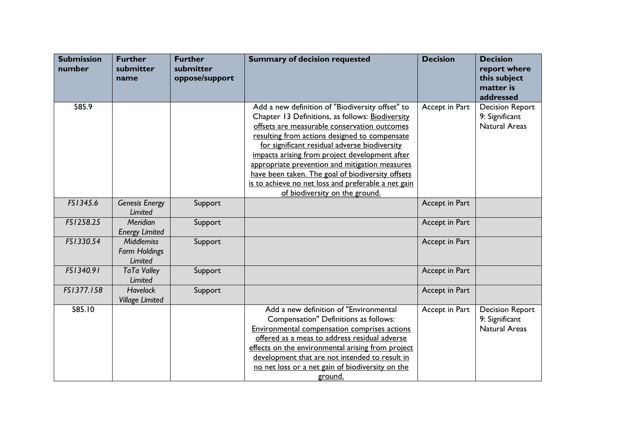| <b>Submission</b><br>number | <b>Further</b><br>submitter<br>name                         | <b>Further</b><br>submitter<br>oppose/support | <b>Summary of decision requested</b>                                                                                                                                                                                                                                                                                                                                                                                                                                                                     | <b>Decision</b> | <b>Decision</b><br>report where<br>this subject<br>matter is<br>addressed |
|-----------------------------|-------------------------------------------------------------|-----------------------------------------------|----------------------------------------------------------------------------------------------------------------------------------------------------------------------------------------------------------------------------------------------------------------------------------------------------------------------------------------------------------------------------------------------------------------------------------------------------------------------------------------------------------|-----------------|---------------------------------------------------------------------------|
| 585.9                       |                                                             |                                               | Add a new definition of "Biodiversity offset" to<br>Chapter 13 Definitions, as follows: Biodiversity<br>offsets are measurable conservation outcomes<br>resulting from actions designed to compensate<br>for significant residual adverse biodiversity<br>impacts arising from project development after<br>appropriate prevention and mitigation measures<br>have been taken. The goal of biodiversity offsets<br>is to achieve no net loss and preferable a net gain<br>of biodiversity on the ground. | Accept in Part  | <b>Decision Report</b><br>9: Significant<br><b>Natural Areas</b>          |
| FS1345.6                    | <b>Genesis Energy</b><br><b>Limited</b>                     | Support                                       |                                                                                                                                                                                                                                                                                                                                                                                                                                                                                                          | Accept in Part  |                                                                           |
| FS1258.25                   | Meridian<br><b>Energy Limited</b>                           | Support                                       |                                                                                                                                                                                                                                                                                                                                                                                                                                                                                                          | Accept in Part  |                                                                           |
| FS1330.54                   | <b>Middlemiss</b><br><b>Farm Holdings</b><br><b>Limited</b> | Support                                       |                                                                                                                                                                                                                                                                                                                                                                                                                                                                                                          | Accept in Part  |                                                                           |
| FS1340.91                   | <b>TaTa Valley</b><br>Limited                               | Support                                       |                                                                                                                                                                                                                                                                                                                                                                                                                                                                                                          | Accept in Part  |                                                                           |
| FS1377.158                  | <b>Havelock</b><br><b>Village Limited</b>                   | Support                                       |                                                                                                                                                                                                                                                                                                                                                                                                                                                                                                          | Accept in Part  |                                                                           |
| 585.10                      |                                                             |                                               | Add a new definition of "Environmental<br>Compensation" Definitions as follows:<br>Environmental compensation comprises actions<br>offered as a meas to address residual adverse<br>effects on the environmental arising from project<br>development that are not intended to result in<br>no net loss or a net gain of biodiversity on the<br>ground.                                                                                                                                                   | Accept in Part  | <b>Decision Report</b><br>9: Significant<br><b>Natural Areas</b>          |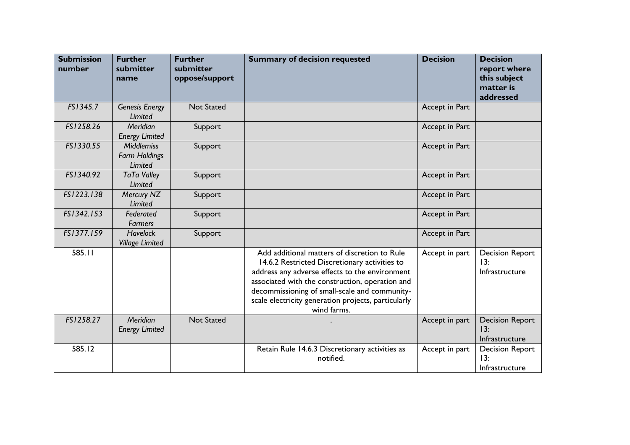| <b>Submission</b><br>number | <b>Further</b><br>submitter<br>name                  | <b>Further</b><br>submitter<br>oppose/support | <b>Summary of decision requested</b>                                                                                                                                                                                                                                                                                      | <b>Decision</b> | <b>Decision</b><br>report where<br>this subject<br>matter is<br>addressed |
|-----------------------------|------------------------------------------------------|-----------------------------------------------|---------------------------------------------------------------------------------------------------------------------------------------------------------------------------------------------------------------------------------------------------------------------------------------------------------------------------|-----------------|---------------------------------------------------------------------------|
| FS1345.7                    | <b>Genesis Energy</b><br><b>Limited</b>              | <b>Not Stated</b>                             |                                                                                                                                                                                                                                                                                                                           | Accept in Part  |                                                                           |
| FS1258.26                   | Meridian<br><b>Energy Limited</b>                    | Support                                       |                                                                                                                                                                                                                                                                                                                           | Accept in Part  |                                                                           |
| FS1330.55                   | <b>Middlemiss</b><br><b>Farm Holdings</b><br>Limited | Support                                       |                                                                                                                                                                                                                                                                                                                           | Accept in Part  |                                                                           |
| FS1340.92                   | <b>TaTa Valley</b><br><b>Limited</b>                 | Support                                       |                                                                                                                                                                                                                                                                                                                           | Accept in Part  |                                                                           |
| FS1223.138                  | Mercury NZ<br><b>Limited</b>                         | Support                                       |                                                                                                                                                                                                                                                                                                                           | Accept in Part  |                                                                           |
| FS1342.153                  | Federated<br><b>Farmers</b>                          | Support                                       |                                                                                                                                                                                                                                                                                                                           | Accept in Part  |                                                                           |
| FS1377.159                  | <b>Havelock</b><br><b>Village Limited</b>            | Support                                       |                                                                                                                                                                                                                                                                                                                           | Accept in Part  |                                                                           |
| 585.11                      |                                                      |                                               | Add additional matters of discretion to Rule<br>14.6.2 Restricted Discretionary activities to<br>address any adverse effects to the environment<br>associated with the construction, operation and<br>decommissioning of small-scale and community-<br>scale electricity generation projects, particularly<br>wind farms. | Accept in part  | <b>Decision Report</b><br>13:<br>Infrastructure                           |
| FS1258.27                   | Meridian<br><b>Energy Limited</b>                    | <b>Not Stated</b>                             |                                                                                                                                                                                                                                                                                                                           | Accept in part  | <b>Decision Report</b><br>13:<br>Infrastructure                           |
| 585.12                      |                                                      |                                               | Retain Rule 14.6.3 Discretionary activities as<br>notified.                                                                                                                                                                                                                                                               | Accept in part  | <b>Decision Report</b><br>13:<br>Infrastructure                           |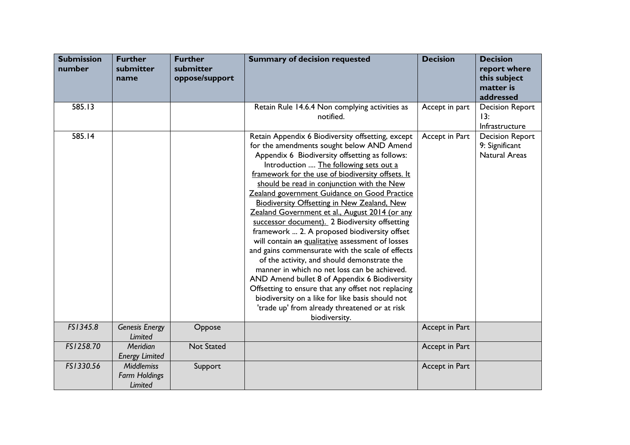| <b>Submission</b><br>number | <b>Further</b><br>submitter<br>name                  | <b>Further</b><br>submitter<br>oppose/support | <b>Summary of decision requested</b>                                                                                                                                                                                                                                                                                                                                                                                                                                                                                                                                                                                                                                                                                                                                                                                                                                                                                                                                                        | <b>Decision</b> | <b>Decision</b><br>report where<br>this subject<br>matter is<br>addressed |
|-----------------------------|------------------------------------------------------|-----------------------------------------------|---------------------------------------------------------------------------------------------------------------------------------------------------------------------------------------------------------------------------------------------------------------------------------------------------------------------------------------------------------------------------------------------------------------------------------------------------------------------------------------------------------------------------------------------------------------------------------------------------------------------------------------------------------------------------------------------------------------------------------------------------------------------------------------------------------------------------------------------------------------------------------------------------------------------------------------------------------------------------------------------|-----------------|---------------------------------------------------------------------------|
| 585.13                      |                                                      |                                               | Retain Rule 14.6.4 Non complying activities as<br>notified.                                                                                                                                                                                                                                                                                                                                                                                                                                                                                                                                                                                                                                                                                                                                                                                                                                                                                                                                 | Accept in part  | <b>Decision Report</b><br>13:<br>Infrastructure                           |
| 585.14                      |                                                      |                                               | Retain Appendix 6 Biodiversity offsetting, except<br>for the amendments sought below AND Amend<br>Appendix 6 Biodiversity offsetting as follows:<br>Introduction  The following sets out a<br>framework for the use of biodiversity offsets. It<br>should be read in conjunction with the New<br>Zealand government Guidance on Good Practice<br><b>Biodiversity Offsetting in New Zealand, New</b><br>Zealand Government et al., August 2014 (or any<br>successor document). 2 Biodiversity offsetting<br>framework  2. A proposed biodiversity offset<br>will contain an qualitative assessment of losses<br>and gains commensurate with the scale of effects<br>of the activity, and should demonstrate the<br>manner in which no net loss can be achieved.<br>AND Amend bullet 8 of Appendix 6 Biodiversity<br>Offsetting to ensure that any offset not replacing<br>biodiversity on a like for like basis should not<br>'trade up' from already threatened or at risk<br>biodiversity. | Accept in Part  | <b>Decision Report</b><br>9: Significant<br><b>Natural Areas</b>          |
| FS1345.8                    | <b>Genesis Energy</b><br>Limited                     | Oppose                                        |                                                                                                                                                                                                                                                                                                                                                                                                                                                                                                                                                                                                                                                                                                                                                                                                                                                                                                                                                                                             | Accept in Part  |                                                                           |
| FS1258.70                   | Meridian<br><b>Energy Limited</b>                    | <b>Not Stated</b>                             |                                                                                                                                                                                                                                                                                                                                                                                                                                                                                                                                                                                                                                                                                                                                                                                                                                                                                                                                                                                             | Accept in Part  |                                                                           |
| FS1330.56                   | <b>Middlemiss</b><br><b>Farm Holdings</b><br>Limited | Support                                       |                                                                                                                                                                                                                                                                                                                                                                                                                                                                                                                                                                                                                                                                                                                                                                                                                                                                                                                                                                                             | Accept in Part  |                                                                           |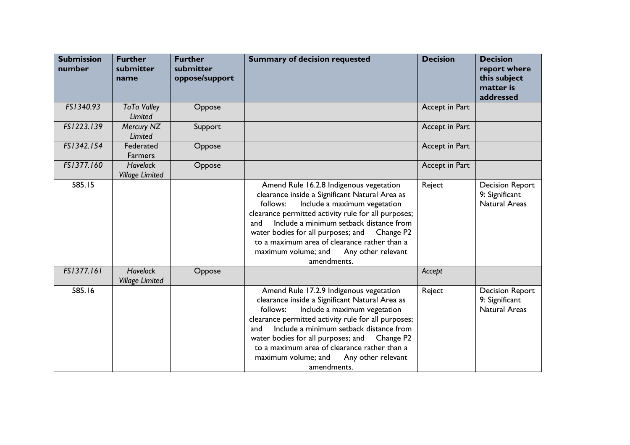| <b>Submission</b><br>number | <b>Further</b><br>submitter<br>name       | <b>Further</b><br>submitter<br>oppose/support | <b>Summary of decision requested</b>                                                                                                                                                                                                                                                                                                                                                                                      | <b>Decision</b> | <b>Decision</b><br>report where<br>this subject<br>matter is<br>addressed |
|-----------------------------|-------------------------------------------|-----------------------------------------------|---------------------------------------------------------------------------------------------------------------------------------------------------------------------------------------------------------------------------------------------------------------------------------------------------------------------------------------------------------------------------------------------------------------------------|-----------------|---------------------------------------------------------------------------|
| FS1340.93                   | <b>TaTa Valley</b><br>Limited             | Oppose                                        |                                                                                                                                                                                                                                                                                                                                                                                                                           | Accept in Part  |                                                                           |
| FS1223.139                  | Mercury NZ<br>Limited                     | Support                                       |                                                                                                                                                                                                                                                                                                                                                                                                                           | Accept in Part  |                                                                           |
| FS1342.154                  | Federated<br><b>Farmers</b>               | Oppose                                        |                                                                                                                                                                                                                                                                                                                                                                                                                           | Accept in Part  |                                                                           |
| FS1377.160                  | <b>Havelock</b><br><b>Village Limited</b> | Oppose                                        |                                                                                                                                                                                                                                                                                                                                                                                                                           | Accept in Part  |                                                                           |
| 585.15                      |                                           |                                               | Amend Rule 16.2.8 Indigenous vegetation<br>clearance inside a Significant Natural Area as<br>Include a maximum vegetation<br>follows:<br>clearance permitted activity rule for all purposes;<br>Include a minimum setback distance from<br>and<br>water bodies for all purposes; and<br>Change P <sub>2</sub><br>to a maximum area of clearance rather than a<br>maximum volume; and<br>Any other relevant<br>amendments. | Reject          | <b>Decision Report</b><br>9: Significant<br><b>Natural Areas</b>          |
| FS1377.161                  | <b>Havelock</b><br><b>Village Limited</b> | Oppose                                        |                                                                                                                                                                                                                                                                                                                                                                                                                           | Accept          |                                                                           |
| 585.16                      |                                           |                                               | Amend Rule 17.2.9 Indigenous vegetation<br>clearance inside a Significant Natural Area as<br>follows:<br>Include a maximum vegetation<br>clearance permitted activity rule for all purposes;<br>Include a minimum setback distance from<br>and<br>water bodies for all purposes; and<br>Change P2<br>to a maximum area of clearance rather than a<br>maximum volume; and<br>Any other relevant<br>amendments.             | Reject          | <b>Decision Report</b><br>9: Significant<br><b>Natural Areas</b>          |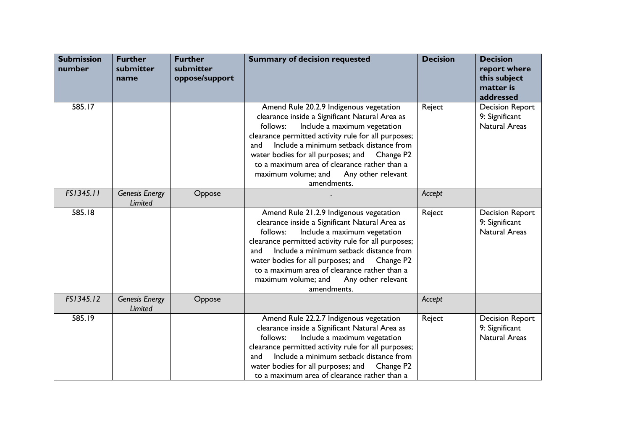| <b>Submission</b><br>number | <b>Further</b><br>submitter<br>name | <b>Further</b><br>submitter<br>oppose/support | <b>Summary of decision requested</b>                                                                                                                                                                                                                                                                                                                                                                                      | <b>Decision</b> | <b>Decision</b><br>report where<br>this subject<br>matter is<br>addressed |
|-----------------------------|-------------------------------------|-----------------------------------------------|---------------------------------------------------------------------------------------------------------------------------------------------------------------------------------------------------------------------------------------------------------------------------------------------------------------------------------------------------------------------------------------------------------------------------|-----------------|---------------------------------------------------------------------------|
| 585.17                      |                                     |                                               | Amend Rule 20.2.9 Indigenous vegetation<br>clearance inside a Significant Natural Area as<br>Include a maximum vegetation<br>follows:<br>clearance permitted activity rule for all purposes;<br>Include a minimum setback distance from<br>and<br>water bodies for all purposes; and<br>Change P <sub>2</sub><br>to a maximum area of clearance rather than a<br>maximum volume; and<br>Any other relevant<br>amendments. | Reject          | <b>Decision Report</b><br>9: Significant<br><b>Natural Areas</b>          |
| FS1345.11                   | <b>Genesis Energy</b><br>Limited    | Oppose                                        |                                                                                                                                                                                                                                                                                                                                                                                                                           | Accept          |                                                                           |
| 585.18                      |                                     |                                               | Amend Rule 21.2.9 Indigenous vegetation<br>clearance inside a Significant Natural Area as<br>Include a maximum vegetation<br>follows:<br>clearance permitted activity rule for all purposes;<br>Include a minimum setback distance from<br>and<br>water bodies for all purposes; and Change P2<br>to a maximum area of clearance rather than a<br>maximum volume; and<br>Any other relevant<br>amendments.                | Reject          | <b>Decision Report</b><br>9: Significant<br><b>Natural Areas</b>          |
| FS1345.12                   | <b>Genesis Energy</b><br>Limited    | Oppose                                        |                                                                                                                                                                                                                                                                                                                                                                                                                           | Accept          |                                                                           |
| 585.19                      |                                     |                                               | Amend Rule 22.2.7 Indigenous vegetation<br>clearance inside a Significant Natural Area as<br>Include a maximum vegetation<br>follows:<br>clearance permitted activity rule for all purposes;<br>Include a minimum setback distance from<br>and<br>water bodies for all purposes; and Change P2<br>to a maximum area of clearance rather than a                                                                            | Reject          | <b>Decision Report</b><br>9: Significant<br><b>Natural Areas</b>          |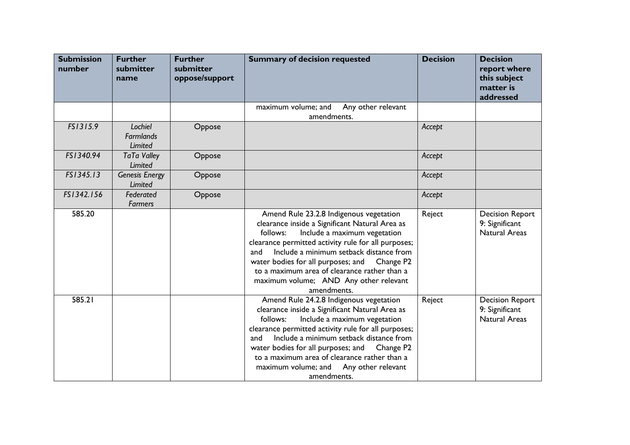| <b>Submission</b><br>number | <b>Further</b><br>submitter<br>name    | <b>Further</b><br>submitter<br>oppose/support | <b>Summary of decision requested</b>                                                                                                                                                                                                                                                                                                                                                                          | <b>Decision</b> | <b>Decision</b><br>report where<br>this subject<br>matter is<br>addressed |
|-----------------------------|----------------------------------------|-----------------------------------------------|---------------------------------------------------------------------------------------------------------------------------------------------------------------------------------------------------------------------------------------------------------------------------------------------------------------------------------------------------------------------------------------------------------------|-----------------|---------------------------------------------------------------------------|
|                             |                                        |                                               | Any other relevant<br>maximum volume; and<br>amendments.                                                                                                                                                                                                                                                                                                                                                      |                 |                                                                           |
| FS1315.9                    | Lochiel<br><b>Farmlands</b><br>Limited | Oppose                                        |                                                                                                                                                                                                                                                                                                                                                                                                               | Accept          |                                                                           |
| FS1340.94                   | <b>TaTa Valley</b><br>Limited          | Oppose                                        |                                                                                                                                                                                                                                                                                                                                                                                                               | Accept          |                                                                           |
| FS1345.13                   | <b>Genesis Energy</b><br>Limited       | Oppose                                        |                                                                                                                                                                                                                                                                                                                                                                                                               | Accept          |                                                                           |
| FS1342.156                  | Federated<br><b>Farmers</b>            | Oppose                                        |                                                                                                                                                                                                                                                                                                                                                                                                               | Accept          |                                                                           |
| 585.20                      |                                        |                                               | Amend Rule 23.2.8 Indigenous vegetation<br>clearance inside a Significant Natural Area as<br>Include a maximum vegetation<br>follows:<br>clearance permitted activity rule for all purposes;<br>Include a minimum setback distance from<br>and<br>water bodies for all purposes; and Change P2<br>to a maximum area of clearance rather than a<br>maximum volume; AND Any other relevant<br>amendments.       | Reject          | <b>Decision Report</b><br>9: Significant<br><b>Natural Areas</b>          |
| 585.21                      |                                        |                                               | Amend Rule 24.2.8 Indigenous vegetation<br>clearance inside a Significant Natural Area as<br>Include a maximum vegetation<br>follows:<br>clearance permitted activity rule for all purposes;<br>Include a minimum setback distance from<br>and<br>water bodies for all purposes; and<br>Change P2<br>to a maximum area of clearance rather than a<br>maximum volume; and<br>Any other relevant<br>amendments. | Reject          | <b>Decision Report</b><br>9: Significant<br><b>Natural Areas</b>          |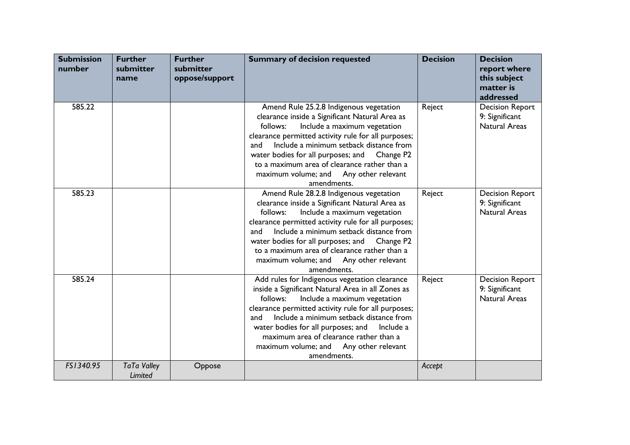| <b>Submission</b><br>number | <b>Further</b><br>submitter<br>name | <b>Further</b><br>submitter<br>oppose/support | <b>Summary of decision requested</b>                                                                                                                                                                                                                                                                                                                                                                                      | <b>Decision</b> | <b>Decision</b><br>report where<br>this subject<br>matter is<br>addressed |
|-----------------------------|-------------------------------------|-----------------------------------------------|---------------------------------------------------------------------------------------------------------------------------------------------------------------------------------------------------------------------------------------------------------------------------------------------------------------------------------------------------------------------------------------------------------------------------|-----------------|---------------------------------------------------------------------------|
| 585.22                      |                                     |                                               | Amend Rule 25.2.8 Indigenous vegetation<br>clearance inside a Significant Natural Area as<br>Include a maximum vegetation<br>follows:<br>clearance permitted activity rule for all purposes;<br>Include a minimum setback distance from<br>and<br>water bodies for all purposes; and<br>Change P <sub>2</sub><br>to a maximum area of clearance rather than a<br>maximum volume; and Any other relevant<br>amendments.    | Reject          | <b>Decision Report</b><br>9: Significant<br><b>Natural Areas</b>          |
| 585.23                      |                                     |                                               | Amend Rule 28.2.8 Indigenous vegetation<br>clearance inside a Significant Natural Area as<br>Include a maximum vegetation<br>follows:<br>clearance permitted activity rule for all purposes;<br>Include a minimum setback distance from<br>and<br>water bodies for all purposes; and<br>Change P <sub>2</sub><br>to a maximum area of clearance rather than a<br>maximum volume; and<br>Any other relevant<br>amendments. | Reject          | <b>Decision Report</b><br>9: Significant<br><b>Natural Areas</b>          |
| 585.24                      |                                     |                                               | Add rules for Indigenous vegetation clearance<br>inside a Significant Natural Area in all Zones as<br>follows:<br>Include a maximum vegetation<br>clearance permitted activity rule for all purposes;<br>Include a minimum setback distance from<br>and<br>water bodies for all purposes; and<br>Include a<br>maximum area of clearance rather than a<br>maximum volume; and<br>Any other relevant<br>amendments.         | Reject          | <b>Decision Report</b><br>9: Significant<br><b>Natural Areas</b>          |
| FS1340.95                   | <b>TaTa Valley</b><br>Limited       | Oppose                                        |                                                                                                                                                                                                                                                                                                                                                                                                                           | Accept          |                                                                           |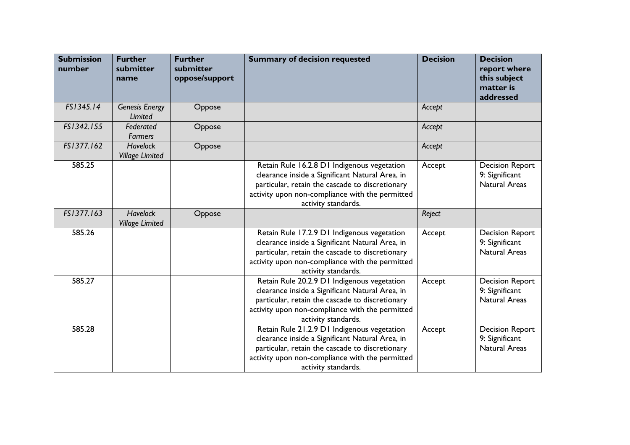| <b>Submission</b><br>number | <b>Further</b><br>submitter<br>name       | <b>Further</b><br>submitter<br>oppose/support | <b>Summary of decision requested</b>                                                                                                                                                                                        | <b>Decision</b> | <b>Decision</b><br>report where<br>this subject<br>matter is<br>addressed |
|-----------------------------|-------------------------------------------|-----------------------------------------------|-----------------------------------------------------------------------------------------------------------------------------------------------------------------------------------------------------------------------------|-----------------|---------------------------------------------------------------------------|
| FS1345.14                   | <b>Genesis Energy</b><br>Limited          | Oppose                                        |                                                                                                                                                                                                                             | Accept          |                                                                           |
| FS1342.155                  | Federated<br>Farmers                      | Oppose                                        |                                                                                                                                                                                                                             | Accept          |                                                                           |
| FS1377.162                  | <b>Havelock</b><br><b>Village Limited</b> | Oppose                                        |                                                                                                                                                                                                                             | Accept          |                                                                           |
| 585.25                      |                                           |                                               | Retain Rule 16.2.8 D1 Indigenous vegetation<br>clearance inside a Significant Natural Area, in<br>particular, retain the cascade to discretionary<br>activity upon non-compliance with the permitted<br>activity standards. | Accept          | <b>Decision Report</b><br>9: Significant<br><b>Natural Areas</b>          |
| FS1377.163                  | <b>Havelock</b><br><b>Village Limited</b> | Oppose                                        |                                                                                                                                                                                                                             | Reject          |                                                                           |
| 585.26                      |                                           |                                               | Retain Rule 17.2.9 D1 Indigenous vegetation<br>clearance inside a Significant Natural Area, in<br>particular, retain the cascade to discretionary<br>activity upon non-compliance with the permitted<br>activity standards. | Accept          | <b>Decision Report</b><br>9: Significant<br><b>Natural Areas</b>          |
| 585.27                      |                                           |                                               | Retain Rule 20.2.9 D1 Indigenous vegetation<br>clearance inside a Significant Natural Area, in<br>particular, retain the cascade to discretionary<br>activity upon non-compliance with the permitted<br>activity standards. | Accept          | <b>Decision Report</b><br>9: Significant<br><b>Natural Areas</b>          |
| 585.28                      |                                           |                                               | Retain Rule 21.2.9 D1 Indigenous vegetation<br>clearance inside a Significant Natural Area, in<br>particular, retain the cascade to discretionary<br>activity upon non-compliance with the permitted<br>activity standards. | Accept          | <b>Decision Report</b><br>9: Significant<br><b>Natural Areas</b>          |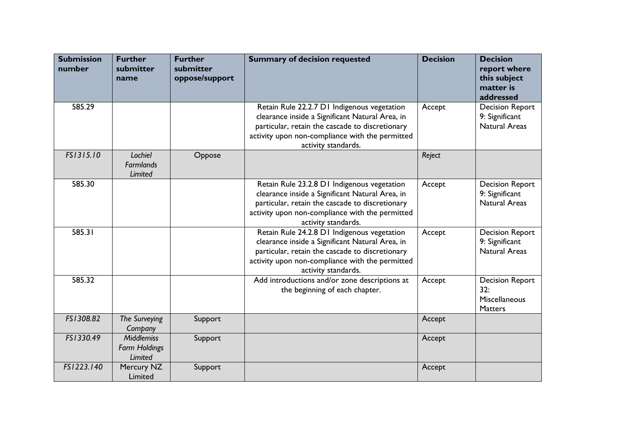| <b>Submission</b><br>number | <b>Further</b><br>submitter<br>name                  | <b>Further</b><br>submitter<br>oppose/support | <b>Summary of decision requested</b>                                                                                                                                                                                        | <b>Decision</b> | <b>Decision</b><br>report where<br>this subject<br>matter is<br>addressed |
|-----------------------------|------------------------------------------------------|-----------------------------------------------|-----------------------------------------------------------------------------------------------------------------------------------------------------------------------------------------------------------------------------|-----------------|---------------------------------------------------------------------------|
| 585.29                      |                                                      |                                               | Retain Rule 22.2.7 D1 Indigenous vegetation<br>clearance inside a Significant Natural Area, in<br>particular, retain the cascade to discretionary<br>activity upon non-compliance with the permitted<br>activity standards. | Accept          | <b>Decision Report</b><br>9: Significant<br><b>Natural Areas</b>          |
| FS1315.10                   | Lochiel<br><b>Farmlands</b><br>Limited               | Oppose                                        |                                                                                                                                                                                                                             | Reject          |                                                                           |
| 585.30                      |                                                      |                                               | Retain Rule 23.2.8 D1 Indigenous vegetation<br>clearance inside a Significant Natural Area, in<br>particular, retain the cascade to discretionary<br>activity upon non-compliance with the permitted<br>activity standards. | Accept          | <b>Decision Report</b><br>9: Significant<br>Natural Areas                 |
| 585.31                      |                                                      |                                               | Retain Rule 24.2.8 D1 Indigenous vegetation<br>clearance inside a Significant Natural Area, in<br>particular, retain the cascade to discretionary<br>activity upon non-compliance with the permitted<br>activity standards. | Accept          | <b>Decision Report</b><br>9: Significant<br><b>Natural Areas</b>          |
| 585.32                      |                                                      |                                               | Add introductions and/or zone descriptions at<br>the beginning of each chapter.                                                                                                                                             | Accept          | <b>Decision Report</b><br>32:<br>Miscellaneous<br><b>Matters</b>          |
| FS1308.82                   | The Surveying<br>Company                             | Support                                       |                                                                                                                                                                                                                             | Accept          |                                                                           |
| FS1330.49                   | <b>Middlemiss</b><br><b>Farm Holdings</b><br>Limited | Support                                       |                                                                                                                                                                                                                             | Accept          |                                                                           |
| FS1223.140                  | Mercury NZ<br>Limited                                | Support                                       |                                                                                                                                                                                                                             | Accept          |                                                                           |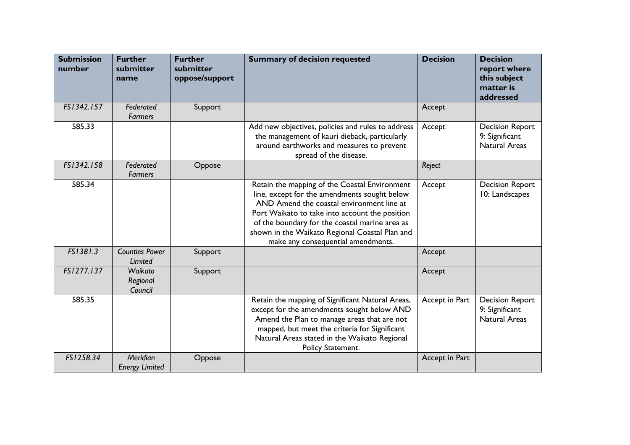| <b>Submission</b><br>number | <b>Further</b><br>submitter<br>name | <b>Further</b><br>submitter<br>oppose/support | <b>Summary of decision requested</b>                                                                                                                                                                                                                                                                                                   | <b>Decision</b> | <b>Decision</b><br>report where<br>this subject<br>matter is<br>addressed |
|-----------------------------|-------------------------------------|-----------------------------------------------|----------------------------------------------------------------------------------------------------------------------------------------------------------------------------------------------------------------------------------------------------------------------------------------------------------------------------------------|-----------------|---------------------------------------------------------------------------|
| FS1342.157                  | Federated<br><b>Farmers</b>         | Support                                       |                                                                                                                                                                                                                                                                                                                                        | Accept          |                                                                           |
| 585.33                      |                                     |                                               | Add new objectives, policies and rules to address<br>the management of kauri dieback, particularly<br>around earthworks and measures to prevent<br>spread of the disease.                                                                                                                                                              | Accept          | <b>Decision Report</b><br>9: Significant<br><b>Natural Areas</b>          |
| FS1342.158                  | Federated<br><b>Farmers</b>         | Oppose                                        |                                                                                                                                                                                                                                                                                                                                        | Reject          |                                                                           |
| 585.34                      |                                     |                                               | Retain the mapping of the Coastal Environment<br>line, except for the amendments sought below<br>AND Amend the coastal environment line at<br>Port Waikato to take into account the position<br>of the boundary for the coastal marine area as<br>shown in the Waikato Regional Coastal Plan and<br>make any consequential amendments. | Accept          | <b>Decision Report</b><br>10: Landscapes                                  |
| FS1381.3                    | <b>Counties Power</b><br>Limited    | Support                                       |                                                                                                                                                                                                                                                                                                                                        | Accept          |                                                                           |
| FS1277.137                  | Waikato<br>Regional<br>Council      | Support                                       |                                                                                                                                                                                                                                                                                                                                        | Accept          |                                                                           |
| 585.35                      |                                     |                                               | Retain the mapping of Significant Natural Areas,<br>except for the amendments sought below AND<br>Amend the Plan to manage areas that are not<br>mapped, but meet the criteria for Significant<br>Natural Areas stated in the Waikato Regional<br>Policy Statement.                                                                    | Accept in Part  | <b>Decision Report</b><br>9: Significant<br>Natural Areas                 |
| FS1258.34                   | Meridian<br><b>Energy Limited</b>   | Oppose                                        |                                                                                                                                                                                                                                                                                                                                        | Accept in Part  |                                                                           |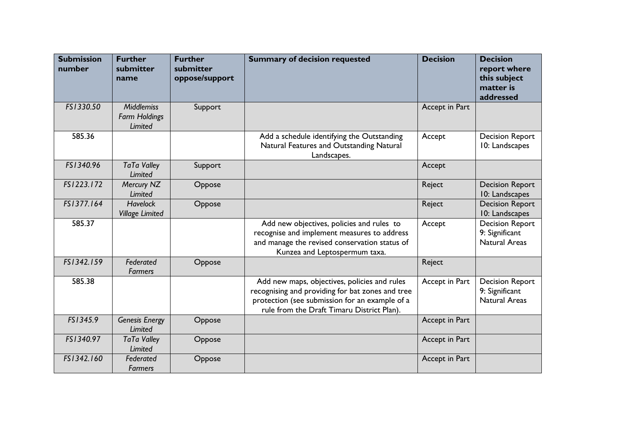| <b>Submission</b><br>number | <b>Further</b><br>submitter<br>name                         | <b>Further</b><br>submitter<br>oppose/support | <b>Summary of decision requested</b>                                                                                                                                                             | <b>Decision</b> | <b>Decision</b><br>report where<br>this subject<br>matter is<br>addressed |
|-----------------------------|-------------------------------------------------------------|-----------------------------------------------|--------------------------------------------------------------------------------------------------------------------------------------------------------------------------------------------------|-----------------|---------------------------------------------------------------------------|
| FS1330.50                   | <b>Middlemiss</b><br><b>Farm Holdings</b><br><b>Limited</b> | Support                                       |                                                                                                                                                                                                  | Accept in Part  |                                                                           |
| 585.36                      |                                                             |                                               | Add a schedule identifying the Outstanding<br>Natural Features and Outstanding Natural<br>Landscapes.                                                                                            | Accept          | <b>Decision Report</b><br>10: Landscapes                                  |
| FS1340.96                   | <b>TaTa Valley</b><br>Limited                               | Support                                       |                                                                                                                                                                                                  | Accept          |                                                                           |
| FS1223.172                  | Mercury NZ<br>Limited                                       | Oppose                                        |                                                                                                                                                                                                  | Reject          | <b>Decision Report</b><br>10: Landscapes                                  |
| FS1377.164                  | <b>Havelock</b><br><b>Village Limited</b>                   | Oppose                                        |                                                                                                                                                                                                  | Reject          | <b>Decision Report</b><br>10: Landscapes                                  |
| 585.37                      |                                                             |                                               | Add new objectives, policies and rules to<br>recognise and implement measures to address<br>and manage the revised conservation status of<br>Kunzea and Leptospermum taxa.                       | Accept          | <b>Decision Report</b><br>9: Significant<br><b>Natural Areas</b>          |
| FS1342.159                  | Federated<br><b>Farmers</b>                                 | Oppose                                        |                                                                                                                                                                                                  | Reject          |                                                                           |
| 585.38                      |                                                             |                                               | Add new maps, objectives, policies and rules<br>recognising and providing for bat zones and tree<br>protection (see submission for an example of a<br>rule from the Draft Timaru District Plan). | Accept in Part  | <b>Decision Report</b><br>9: Significant<br><b>Natural Areas</b>          |
| FS1345.9                    | <b>Genesis Energy</b><br><b>Limited</b>                     | Oppose                                        |                                                                                                                                                                                                  | Accept in Part  |                                                                           |
| FS1340.97                   | <b>TaTa Valley</b><br>Limited                               | Oppose                                        |                                                                                                                                                                                                  | Accept in Part  |                                                                           |
| FS1342.160                  | Federated<br><b>Farmers</b>                                 | Oppose                                        |                                                                                                                                                                                                  | Accept in Part  |                                                                           |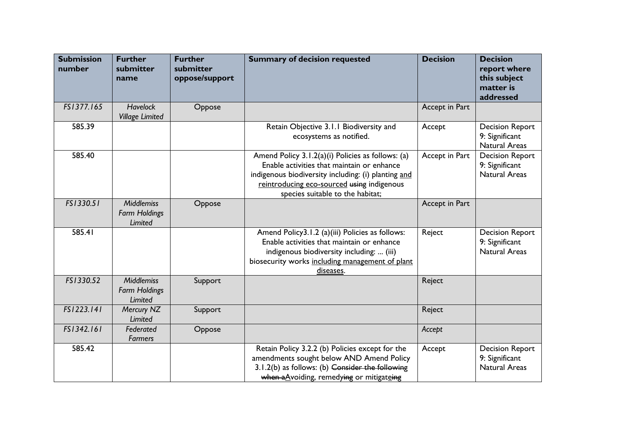| <b>Submission</b><br>number | <b>Further</b><br>submitter<br>name                  | <b>Further</b><br>submitter<br>oppose/support | <b>Summary of decision requested</b>                                                                                                                                                                                                     | <b>Decision</b> | <b>Decision</b><br>report where<br>this subject<br>matter is<br>addressed |
|-----------------------------|------------------------------------------------------|-----------------------------------------------|------------------------------------------------------------------------------------------------------------------------------------------------------------------------------------------------------------------------------------------|-----------------|---------------------------------------------------------------------------|
| FS1377.165                  | <b>Havelock</b><br><b>Village Limited</b>            | Oppose                                        |                                                                                                                                                                                                                                          | Accept in Part  |                                                                           |
| 585.39                      |                                                      |                                               | Retain Objective 3.1.1 Biodiversity and<br>ecosystems as notified.                                                                                                                                                                       | Accept          | <b>Decision Report</b><br>9: Significant<br><b>Natural Areas</b>          |
| 585.40                      |                                                      |                                               | Amend Policy 3.1.2(a)(i) Policies as follows: (a)<br>Enable activities that maintain or enhance<br>indigenous biodiversity including: (i) planting and<br>reintroducing eco-sourced using indigenous<br>species suitable to the habitat; | Accept in Part  | <b>Decision Report</b><br>9: Significant<br><b>Natural Areas</b>          |
| FS1330.51                   | <b>Middlemiss</b><br><b>Farm Holdings</b><br>Limited | Oppose                                        |                                                                                                                                                                                                                                          | Accept in Part  |                                                                           |
| 585.41                      |                                                      |                                               | Amend Policy3.1.2 (a)(iii) Policies as follows:<br>Enable activities that maintain or enhance<br>indigenous biodiversity including:  (iii)<br>biosecurity works including management of plant<br>diseases.                               | Reject          | <b>Decision Report</b><br>9: Significant<br><b>Natural Areas</b>          |
| FS1330.52                   | <b>Middlemiss</b><br><b>Farm Holdings</b><br>Limited | Support                                       |                                                                                                                                                                                                                                          | Reject          |                                                                           |
| FS1223.141                  | Mercury NZ<br>Limited                                | Support                                       |                                                                                                                                                                                                                                          | Reject          |                                                                           |
| FS1342.161                  | Federated<br><b>Farmers</b>                          | Oppose                                        |                                                                                                                                                                                                                                          | Accept          |                                                                           |
| 585.42                      |                                                      |                                               | Retain Policy 3.2.2 (b) Policies except for the<br>amendments sought below AND Amend Policy<br>3.1.2(b) as follows: (b) Consider the following<br>when a Avoiding, remedying or mitigateing                                              | Accept          | <b>Decision Report</b><br>9: Significant<br><b>Natural Areas</b>          |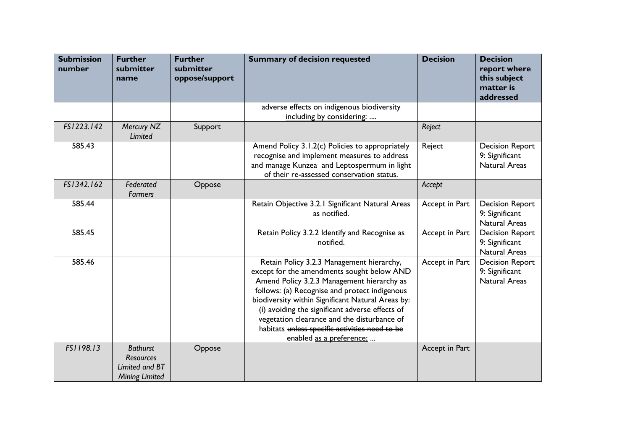| <b>Submission</b><br>number | <b>Further</b><br>submitter<br>name                                            | <b>Further</b><br>submitter<br>oppose/support | <b>Summary of decision requested</b>                                                                                                                                                                                                                                                                                                                                                                                        | <b>Decision</b> | <b>Decision</b><br>report where<br>this subject<br>matter is<br>addressed |
|-----------------------------|--------------------------------------------------------------------------------|-----------------------------------------------|-----------------------------------------------------------------------------------------------------------------------------------------------------------------------------------------------------------------------------------------------------------------------------------------------------------------------------------------------------------------------------------------------------------------------------|-----------------|---------------------------------------------------------------------------|
|                             |                                                                                |                                               | adverse effects on indigenous biodiversity<br>including by considering:                                                                                                                                                                                                                                                                                                                                                     |                 |                                                                           |
| FS1223.142                  | Mercury NZ<br>Limited                                                          | Support                                       |                                                                                                                                                                                                                                                                                                                                                                                                                             | Reject          |                                                                           |
| 585.43                      |                                                                                |                                               | Amend Policy 3.1.2(c) Policies to appropriately<br>recognise and implement measures to address<br>and manage Kunzea and Leptospermum in light<br>of their re-assessed conservation status.                                                                                                                                                                                                                                  | Reject          | <b>Decision Report</b><br>9: Significant<br>Natural Areas                 |
| FS1342.162                  | Federated<br><b>Farmers</b>                                                    | Oppose                                        |                                                                                                                                                                                                                                                                                                                                                                                                                             | Accept          |                                                                           |
| 585.44                      |                                                                                |                                               | Retain Objective 3.2.1 Significant Natural Areas<br>as notified.                                                                                                                                                                                                                                                                                                                                                            | Accept in Part  | <b>Decision Report</b><br>9: Significant<br><b>Natural Areas</b>          |
| 585.45                      |                                                                                |                                               | Retain Policy 3.2.2 Identify and Recognise as<br>notified.                                                                                                                                                                                                                                                                                                                                                                  | Accept in Part  | <b>Decision Report</b><br>9: Significant<br><b>Natural Areas</b>          |
| 585.46                      |                                                                                |                                               | Retain Policy 3.2.3 Management hierarchy,<br>except for the amendments sought below AND<br>Amend Policy 3.2.3 Management hierarchy as<br>follows: (a) Recognise and protect indigenous<br>biodiversity within Significant Natural Areas by:<br>(i) avoiding the significant adverse effects of<br>vegetation clearance and the disturbance of<br>habitats unless specific activities need to be<br>enabled as a preference; | Accept in Part  | <b>Decision Report</b><br>9: Significant<br>Natural Areas                 |
| FS1198.13                   | <b>Bathurst</b><br><b>Resources</b><br>Limited and BT<br><b>Mining Limited</b> | Oppose                                        |                                                                                                                                                                                                                                                                                                                                                                                                                             | Accept in Part  |                                                                           |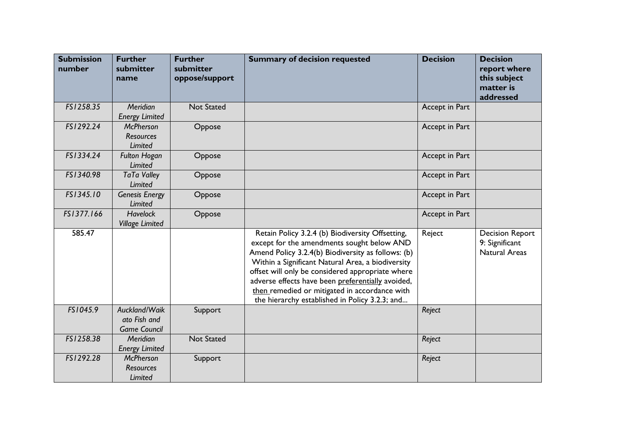| <b>Submission</b><br>number | <b>Further</b><br>submitter<br>name                    | <b>Further</b><br>submitter<br>oppose/support | <b>Summary of decision requested</b>                                                                                                                                                                                                                                                                                                                                                                                  | <b>Decision</b> | <b>Decision</b><br>report where<br>this subject<br>matter is<br>addressed |
|-----------------------------|--------------------------------------------------------|-----------------------------------------------|-----------------------------------------------------------------------------------------------------------------------------------------------------------------------------------------------------------------------------------------------------------------------------------------------------------------------------------------------------------------------------------------------------------------------|-----------------|---------------------------------------------------------------------------|
| FS1258.35                   | Meridian<br><b>Energy Limited</b>                      | <b>Not Stated</b>                             |                                                                                                                                                                                                                                                                                                                                                                                                                       | Accept in Part  |                                                                           |
| FS1292.24                   | <b>McPherson</b><br><b>Resources</b><br><b>Limited</b> | Oppose                                        |                                                                                                                                                                                                                                                                                                                                                                                                                       | Accept in Part  |                                                                           |
| FS1334.24                   | <b>Fulton Hogan</b><br>Limited                         | Oppose                                        |                                                                                                                                                                                                                                                                                                                                                                                                                       | Accept in Part  |                                                                           |
| FS1340.98                   | <b>TaTa Valley</b><br>Limited                          | Oppose                                        |                                                                                                                                                                                                                                                                                                                                                                                                                       | Accept in Part  |                                                                           |
| FS1345.10                   | <b>Genesis Energy</b><br>Limited                       | Oppose                                        |                                                                                                                                                                                                                                                                                                                                                                                                                       | Accept in Part  |                                                                           |
| FS1377.166                  | <b>Havelock</b><br><b>Village Limited</b>              | Oppose                                        |                                                                                                                                                                                                                                                                                                                                                                                                                       | Accept in Part  |                                                                           |
| 585.47                      |                                                        |                                               | Retain Policy 3.2.4 (b) Biodiversity Offsetting,<br>except for the amendments sought below AND<br>Amend Policy 3.2.4(b) Biodiversity as follows: (b)<br>Within a Significant Natural Area, a biodiversity<br>offset will only be considered appropriate where<br>adverse effects have been preferentially avoided,<br>then remedied or mitigated in accordance with<br>the hierarchy established in Policy 3.2.3; and | Reject          | <b>Decision Report</b><br>9: Significant<br><b>Natural Areas</b>          |
| FS1045.9                    | Auckland/Waik<br>ato Fish and<br><b>Game Council</b>   | Support                                       |                                                                                                                                                                                                                                                                                                                                                                                                                       | Reject          |                                                                           |
| FS1258.38                   | Meridian<br><b>Energy Limited</b>                      | <b>Not Stated</b>                             |                                                                                                                                                                                                                                                                                                                                                                                                                       | Reject          |                                                                           |
| FS1292.28                   | <b>McPherson</b><br><b>Resources</b><br>Limited        | Support                                       |                                                                                                                                                                                                                                                                                                                                                                                                                       | Reject          |                                                                           |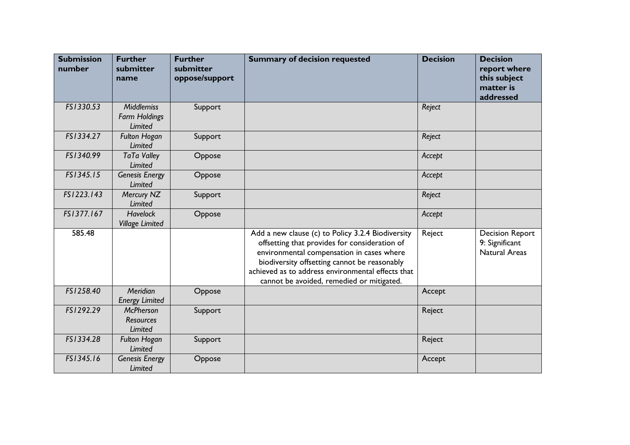| <b>Submission</b><br>number | <b>Further</b><br>submitter<br>name                  | <b>Further</b><br>submitter<br>oppose/support | <b>Summary of decision requested</b>                                                                                                                                                                                                                                                              | <b>Decision</b> | <b>Decision</b><br>report where<br>this subject<br>matter is<br>addressed |
|-----------------------------|------------------------------------------------------|-----------------------------------------------|---------------------------------------------------------------------------------------------------------------------------------------------------------------------------------------------------------------------------------------------------------------------------------------------------|-----------------|---------------------------------------------------------------------------|
| FS1330.53                   | <b>Middlemiss</b><br><b>Farm Holdings</b><br>Limited | Support                                       |                                                                                                                                                                                                                                                                                                   | Reject          |                                                                           |
| FS1334.27                   | <b>Fulton Hogan</b><br>Limited                       | Support                                       |                                                                                                                                                                                                                                                                                                   | Reject          |                                                                           |
| FS1340.99                   | <b>TaTa Valley</b><br>Limited                        | Oppose                                        |                                                                                                                                                                                                                                                                                                   | Accept          |                                                                           |
| FS1345.15                   | <b>Genesis Energy</b><br>Limited                     | Oppose                                        |                                                                                                                                                                                                                                                                                                   | Accept          |                                                                           |
| FS1223.143                  | Mercury NZ<br>Limited                                | Support                                       |                                                                                                                                                                                                                                                                                                   | Reject          |                                                                           |
| FS1377.167                  | <b>Havelock</b><br><b>Village Limited</b>            | Oppose                                        |                                                                                                                                                                                                                                                                                                   | Accept          |                                                                           |
| 585.48                      |                                                      |                                               | Add a new clause (c) to Policy 3.2.4 Biodiversity<br>offsetting that provides for consideration of<br>environmental compensation in cases where<br>biodiversity offsetting cannot be reasonably<br>achieved as to address environmental effects that<br>cannot be avoided, remedied or mitigated. | Reject          | <b>Decision Report</b><br>9: Significant<br><b>Natural Areas</b>          |
| FS1258.40                   | Meridian<br><b>Energy Limited</b>                    | Oppose                                        |                                                                                                                                                                                                                                                                                                   | Accept          |                                                                           |
| FS1292.29                   | <b>McPherson</b><br><b>Resources</b><br>Limited      | Support                                       |                                                                                                                                                                                                                                                                                                   | Reject          |                                                                           |
| FS1334.28                   | <b>Fulton Hogan</b><br>Limited                       | Support                                       |                                                                                                                                                                                                                                                                                                   | Reject          |                                                                           |
| FS1345.16                   | <b>Genesis Energy</b><br>Limited                     | Oppose                                        |                                                                                                                                                                                                                                                                                                   | Accept          |                                                                           |